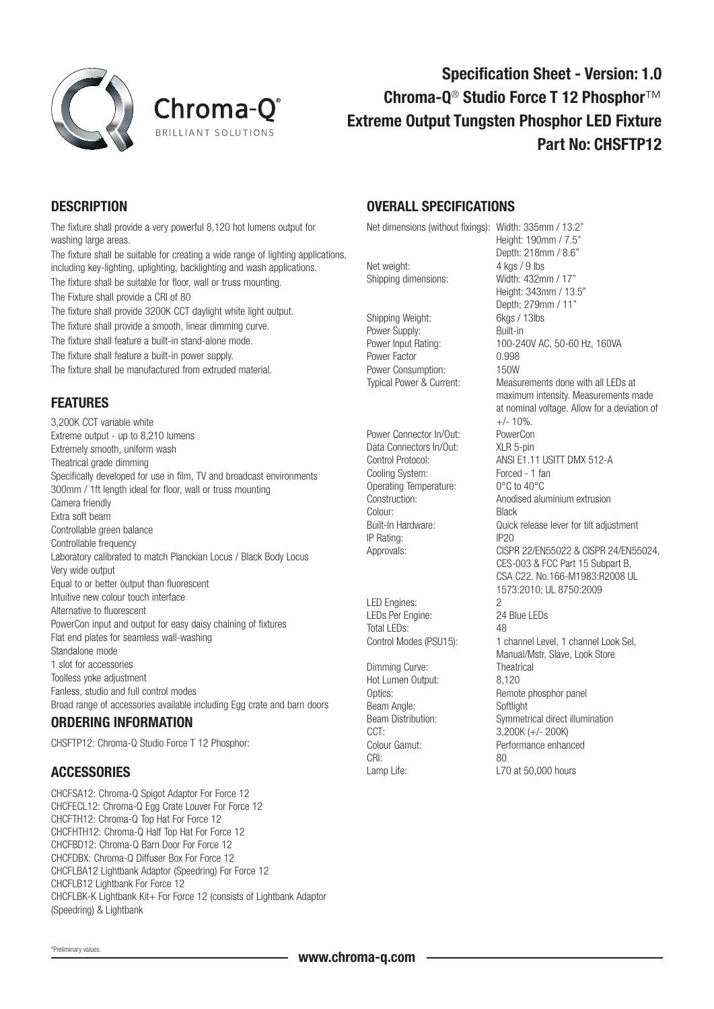



# Specification Sheet - Version: 1.0 Chroma-Q<sup>®</sup> Studio Force T 12 Phosphor<sup>™</sup> Extreme Output Tungsten Phosphor LED Fixture Part No: CHSFTP12

### **DESCRIPTION**

The fixture shall provide a very powerful 8,120 hot lumens output for washing large areas.

The fixture shall be suitable for creating a wide range of lighting applications, including key-lighting, uplighting, backlighting and wash applications. The fixture shall be suitable for floor, wall or truss mounting. The Fixture shall provide a CRI of 80 The fixture shall provide 3200K CCT daylight white light output.

The fixture shall provide a smooth, linear dimming curve.

The fixture shall feature a built-in stand-alone mode.

The fixture shall feature a built-in power supply.

The fixture shall be manufactured from extruded material.

## FEATURES

3,200K CCT variable white Extreme output - up to 8,210 lumens Extremely smooth, uniform wash Theatrical grade dimming Specifically developed for use in film, TV and broadcast environments 300mm / 1ft length ideal for floor, wall or truss mounting Camera friendly Extra soft beam Controllable green balance Controllable frequency Laboratory calibrated to match Planckian Locus / Black Body Locus Very wide output Equal to or better output than fluorescent Intuitive new colour touch interface Alternative to fluorescent PowerCon input and output for easy daisy chaining of fixtures Flat end plates for seamless wall-washing Standalone mode 1 slot for accessories Toolless yoke adjustment Fanless, studio and full control modes Broad range of accessories available including Egg crate and barn doors

#### ORDERING INFORMATION

CHSFTP12: Chroma-Q Studio Force T 12 Phosphor:

#### **ACCESSORIES**

CHCFSA12: Chroma-Q Spigot Adaptor For Force 12 CHCFECL12: Chroma-Q Egg Crate Louver For Force 12 CHCFTH12: Chroma-Q Top Hat For Force 12 CHCFHTH12: Chroma-Q Half Top Hat For Force 12 CHCFBD12: Chroma-Q Barn Door For Force 12 CHCFDBX: Chroma-Q Diffuser Box For Force 12 CHCFLBA12 Lightbank Adaptor (Speedring) For Force 12 CHCFLB12 Lightbank For Force 12 CHCFLBK-K Lightbank Kit+ For Force 12 (consists of Lightbank Adaptor (Speedring) & Lightbank

#### OVERALL SPECIFICATIONS

Net dimensions (without fixings): Width: 335mm / 13.2"

Net weight: 4 kgs / 9 lbs Shipping dimensions: Width: 432mm / 17"

Shipping Weight: 6kgs / 13lbs Power Supply: Built-in Power Factor 0.998 Power Consumption: 150W

Power Connector In/Out: PowerCon Data Connectors In/Out: XLR 5-pin Cooling System: Forced - 1 fan<br>Operating Temperature: 0°C to 40°C Operating Temperature: Colour: Black IP Rating: IP20

LED Engines: 2 LEDs Per Engine: 24 Blue LEDs Total LEDs: 48

Dimming Curve: Theatr<br>Hot Lumen Output: 8.120 Hot Lumen Output: Beam Angle: Softlight CCT: 3,200K (+/- 200K)<br>Colour Gamut: Performance enhar CRI: 80 Lamp Life: Lamp Life: L70 at 50,000 hours

Height: 190mm / 7.5" Depth: 218mm / 8.6" Height: 343mm / 13.5" Depth: 279mm / 11" Power Input Rating: 100-240V AC, 50-60 Hz, 160VA Typical Power & Current: Measurements done with all LEDs at maximum intensity. Measurements made at nominal voltage. Allow for a deviation of  $+/- 10%$ . Control Protocol: ANSI E1.11 USITT DMX 512-A Construction: Anodised aluminium extrusion Built-In Hardware: Quick release lever for tilt adjustment Approvals: CISPR 22/EN55022 & CISPR 24/EN55024, CES-003 & FCC Part 15 Subpart B, CSA C22. No.166-M1983:R2008 UL 1573:2010; UL 8750:2009 Control Modes (PSU15): 1 channel Level, 1 channel Look Sel, Manual/Mstr, Slave, Look Store<br>Theatrical Optics: Remote phosphor panel Beam Distribution:<br>
Symmetrical direct illumination<br>
2.200K (1.4.200K) Performance enhanced